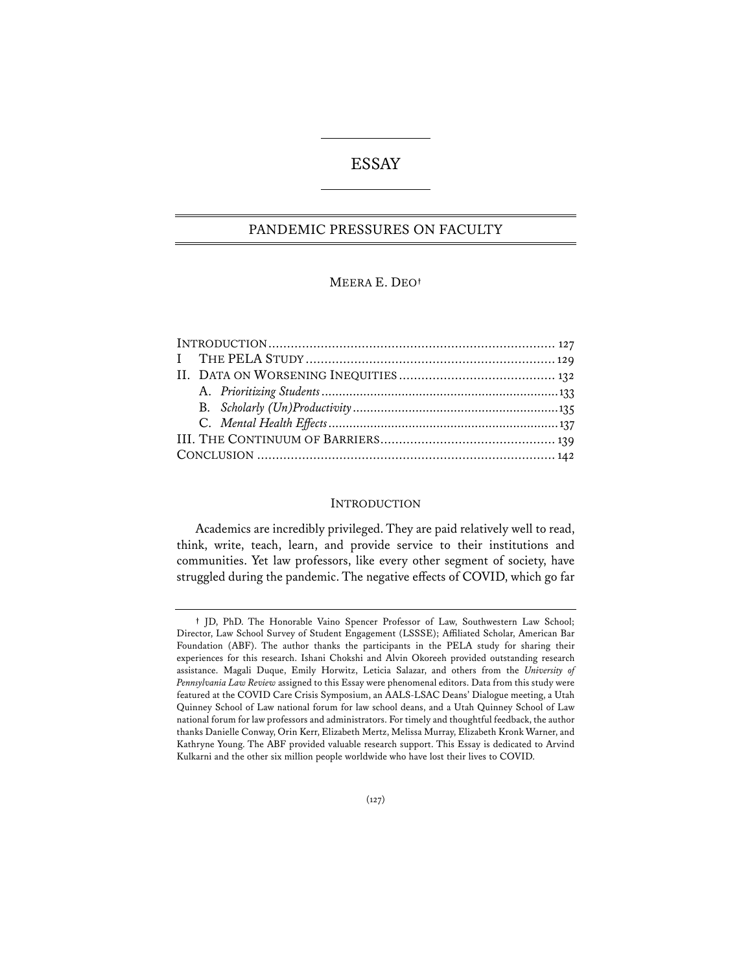# ESSAY

# PANDEMIC PRESSURES ON FACULTY

## MEERA E. DEO**†**

#### **INTRODUCTION**

Academics are incredibly privileged. They are paid relatively well to read, think, write, teach, learn, and provide service to their institutions and communities. Yet law professors, like every other segment of society, have struggled during the pandemic. The negative effects of COVID, which go far

**<sup>†</sup>** JD, PhD. The Honorable Vaino Spencer Professor of Law, Southwestern Law School; Director, Law School Survey of Student Engagement (LSSSE); Affiliated Scholar, American Bar Foundation (ABF). The author thanks the participants in the PELA study for sharing their experiences for this research. Ishani Chokshi and Alvin Okoreeh provided outstanding research assistance. Magali Duque, Emily Horwitz, Leticia Salazar, and others from the *University of Pennsylvania Law Review* assigned to this Essay were phenomenal editors. Data from this study were featured at the COVID Care Crisis Symposium, an AALS-LSAC Deans' Dialogue meeting, a Utah Quinney School of Law national forum for law school deans, and a Utah Quinney School of Law national forum for law professors and administrators. For timely and thoughtful feedback, the author thanks Danielle Conway, Orin Kerr, Elizabeth Mertz, Melissa Murray, Elizabeth Kronk Warner, and Kathryne Young. The ABF provided valuable research support. This Essay is dedicated to Arvind Kulkarni and the other six million people worldwide who have lost their lives to COVID.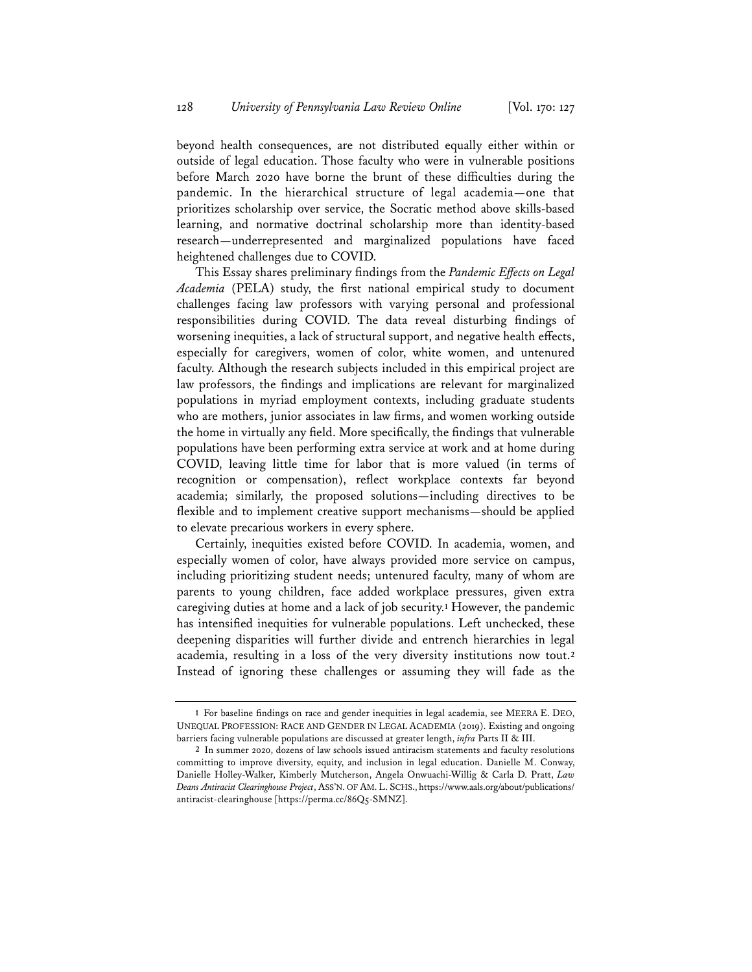beyond health consequences, are not distributed equally either within or outside of legal education. Those faculty who were in vulnerable positions before March 2020 have borne the brunt of these difficulties during the pandemic. In the hierarchical structure of legal academia—one that prioritizes scholarship over service, the Socratic method above skills-based learning, and normative doctrinal scholarship more than identity-based research—underrepresented and marginalized populations have faced heightened challenges due to COVID.

This Essay shares preliminary findings from the *Pandemic Effects on Legal Academia* (PELA) study, the first national empirical study to document challenges facing law professors with varying personal and professional responsibilities during COVID. The data reveal disturbing findings of worsening inequities, a lack of structural support, and negative health effects, especially for caregivers, women of color, white women, and untenured faculty. Although the research subjects included in this empirical project are law professors, the findings and implications are relevant for marginalized populations in myriad employment contexts, including graduate students who are mothers, junior associates in law firms, and women working outside the home in virtually any field. More specifically, the findings that vulnerable populations have been performing extra service at work and at home during COVID, leaving little time for labor that is more valued (in terms of recognition or compensation), reflect workplace contexts far beyond academia; similarly, the proposed solutions—including directives to be flexible and to implement creative support mechanisms—should be applied to elevate precarious workers in every sphere.

Certainly, inequities existed before COVID. In academia, women, and especially women of color, have always provided more service on campus, including prioritizing student needs; untenured faculty, many of whom are parents to young children, face added workplace pressures, given extra caregiving duties at home and a lack of job security.**<sup>1</sup>** However, the pandemic has intensified inequities for vulnerable populations. Left unchecked, these deepening disparities will further divide and entrench hierarchies in legal academia, resulting in a loss of the very diversity institutions now tout.**<sup>2</sup>** Instead of ignoring these challenges or assuming they will fade as the

**<sup>1</sup>** For baseline findings on race and gender inequities in legal academia, see MEERA E. DEO, UNEQUAL PROFESSION: RACE AND GENDER IN LEGAL ACADEMIA (2019). Existing and ongoing barriers facing vulnerable populations are discussed at greater length, *infra* Parts II & III.

**<sup>2</sup>** In summer 2020, dozens of law schools issued antiracism statements and faculty resolutions committing to improve diversity, equity, and inclusion in legal education. Danielle M. Conway, Danielle Holley-Walker, Kimberly Mutcherson, Angela Onwuachi-Willig & Carla D. Pratt, *Law Deans Antiracist Clearinghouse Project*, ASS'N. OF AM. L. SCHS., https://www.aals.org/about/publications/ antiracist-clearinghouse [https://perma.cc/86Q5-SMNZ].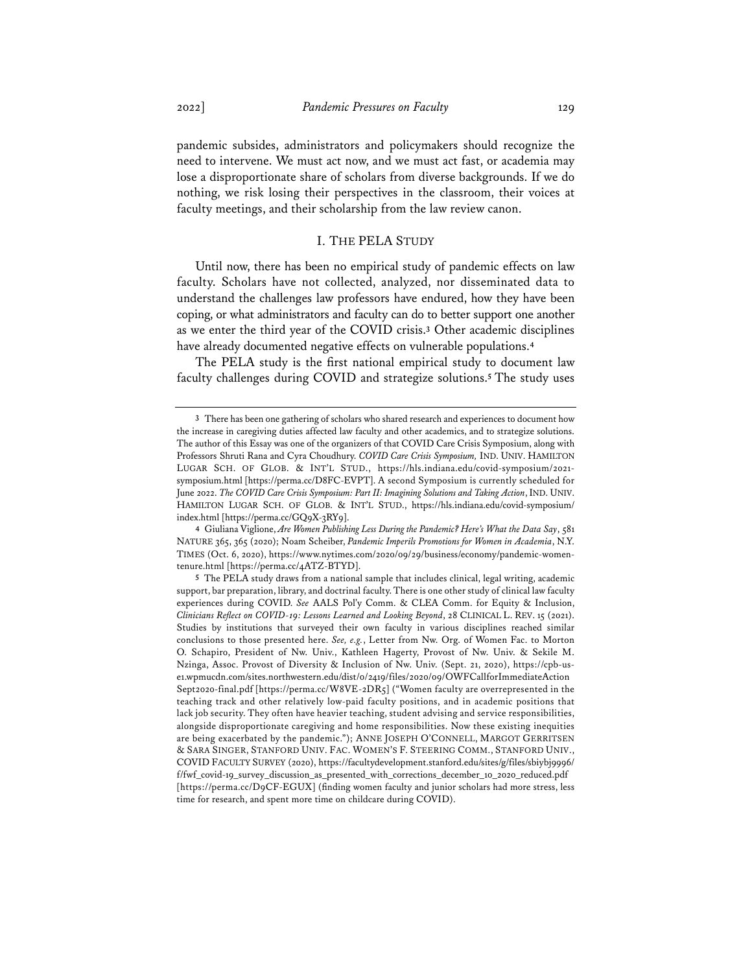pandemic subsides, administrators and policymakers should recognize the need to intervene. We must act now, and we must act fast, or academia may lose a disproportionate share of scholars from diverse backgrounds. If we do nothing, we risk losing their perspectives in the classroom, their voices at faculty meetings, and their scholarship from the law review canon.

## I. THE PELA STUDY

Until now, there has been no empirical study of pandemic effects on law faculty. Scholars have not collected, analyzed, nor disseminated data to understand the challenges law professors have endured, how they have been coping, or what administrators and faculty can do to better support one another as we enter the third year of the COVID crisis.**<sup>3</sup>** Other academic disciplines have already documented negative effects on vulnerable populations.**<sup>4</sup>**

The PELA study is the first national empirical study to document law faculty challenges during COVID and strategize solutions.**<sup>5</sup>** The study uses

**4** Giuliana Viglione, *Are Women Publishing Less During the Pandemic? Here's What the Data Say*, 581 NATURE 365, 365 (2020); Noam Scheiber, *Pandemic Imperils Promotions for Women in Academia*, N.Y. TIMES (Oct. 6, 2020), https://www.nytimes.com/2020/09/29/business/economy/pandemic-womentenure.html [https://perma.cc/4ATZ-BTYD].

**<sup>3</sup>** There has been one gathering of scholars who shared research and experiences to document how the increase in caregiving duties affected law faculty and other academics, and to strategize solutions. The author of this Essay was one of the organizers of that COVID Care Crisis Symposium, along with Professors Shruti Rana and Cyra Choudhury. *COVID Care Crisis Symposium,* IND. UNIV. HAMILTON LUGAR SCH. OF GLOB. & INT'L STUD., https://hls.indiana.edu/covid-symposium/2021 symposium.html [https://perma.cc/D8FC-EVPT]. A second Symposium is currently scheduled for June 2022. *The COVID Care Crisis Symposium: Part II: Imagining Solutions and Taking Action*, IND. UNIV. HAMILTON LUGAR SCH. OF GLOB. & INT'L STUD., https://hls.indiana.edu/covid-symposium/ index.html [https://perma.cc/GQ9X-3RY9].

**<sup>5</sup>** The PELA study draws from a national sample that includes clinical, legal writing, academic support, bar preparation, library, and doctrinal faculty. There is one other study of clinical law faculty experiences during COVID. *See* AALS Pol'y Comm. & CLEA Comm. for Equity & Inclusion, *Clinicians Refect on COVID-19: Lessons Learned and Looking Beyond*, 28 CLINICAL L. REV. 15 (2021). Studies by institutions that surveyed their own faculty in various disciplines reached similar conclusions to those presented here. *See, e.g.*, Letter from Nw. Org. of Women Fac. to Morton O. Schapiro, President of Nw. Univ., Kathleen Hagerty, Provost of Nw. Univ. & Sekile M. Nzinga, Assoc. Provost of Diversity & Inclusion of Nw. Univ. (Sept. 21, 2020), https://cpb-use1.wpmucdn.com/sites.northwestern.edu/dist/0/2419/files/2020/09/OWFCallforImmediateAction Sept2020-final.pdf [https://perma.cc/W8VE-2DR5] ("Women faculty are overrepresented in the teaching track and other relatively low-paid faculty positions, and in academic positions that lack job security. They often have heavier teaching, student advising and service responsibilities, alongside disproportionate caregiving and home responsibilities. Now these existing inequities are being exacerbated by the pandemic."); ANNE JOSEPH O'CONNELL, MARGOT GERRITSEN & SARA SINGER, STANFORD UNIV. FAC. WOMEN'S F. STEERING COMM., STANFORD UNIV., COVID FACULTY SURVEY (2020), https://facultydevelopment.stanford.edu/sites/g/files/sbiybj9996/ f/fwf\_covid-19\_survey\_discussion\_as\_presented\_with\_corrections\_december\_10\_2020\_reduced.pdf [https://perma.cc/D9CF-EGUX] (finding women faculty and junior scholars had more stress, less time for research, and spent more time on childcare during COVID).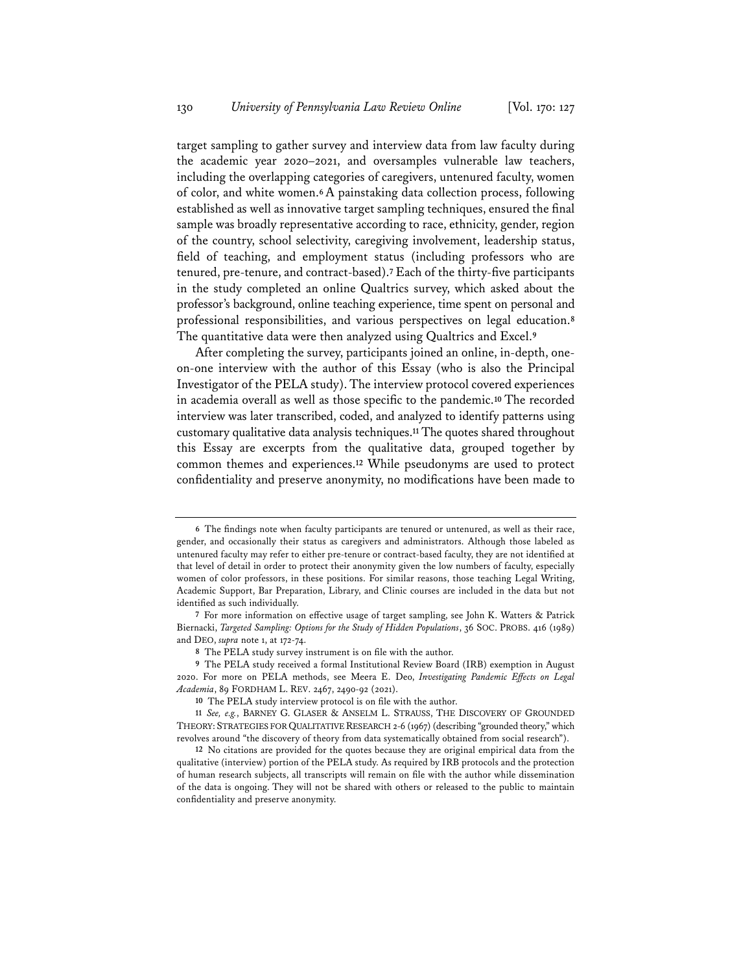target sampling to gather survey and interview data from law faculty during the academic year 2020–2021, and oversamples vulnerable law teachers, including the overlapping categories of caregivers, untenured faculty, women of color, and white women.**6**A painstaking data collection process, following established as well as innovative target sampling techniques, ensured the final sample was broadly representative according to race, ethnicity, gender, region of the country, school selectivity, caregiving involvement, leadership status, field of teaching, and employment status (including professors who are tenured, pre-tenure, and contract-based).**<sup>7</sup>** Each of the thirty-five participants in the study completed an online Qualtrics survey, which asked about the professor's background, online teaching experience, time spent on personal and professional responsibilities, and various perspectives on legal education.**<sup>8</sup>** The quantitative data were then analyzed using Qualtrics and Excel.**<sup>9</sup>**

After completing the survey, participants joined an online, in-depth, oneon-one interview with the author of this Essay (who is also the Principal Investigator of the PELA study). The interview protocol covered experiences in academia overall as well as those specific to the pandemic.**<sup>10</sup>** The recorded interview was later transcribed, coded, and analyzed to identify patterns using customary qualitative data analysis techniques.**<sup>11</sup>** The quotes shared throughout this Essay are excerpts from the qualitative data, grouped together by common themes and experiences.**<sup>12</sup>** While pseudonyms are used to protect confidentiality and preserve anonymity, no modifications have been made to

**<sup>6</sup>** The findings note when faculty participants are tenured or untenured, as well as their race, gender, and occasionally their status as caregivers and administrators. Although those labeled as untenured faculty may refer to either pre-tenure or contract-based faculty, they are not identified at that level of detail in order to protect their anonymity given the low numbers of faculty, especially women of color professors, in these positions. For similar reasons, those teaching Legal Writing, Academic Support, Bar Preparation, Library, and Clinic courses are included in the data but not identified as such individually.

**<sup>7</sup>** For more information on effective usage of target sampling, see John K. Watters & Patrick Biernacki, *Targeted Sampling: Options for the Study of Hidden Populations*, 36 SOC. PROBS. 416 (1989) and DEO, *supra* note 1, at 172-74.

**<sup>8</sup>** The PELA study survey instrument is on file with the author.

**<sup>9</sup>** The PELA study received a formal Institutional Review Board (IRB) exemption in August 2020. For more on PELA methods, see Meera E. Deo, *Investigating Pandemic Effects on Legal Academia*, 89 FORDHAM L. REV. 2467, 2490-92 (2021).

**<sup>10</sup>** The PELA study interview protocol is on file with the author.

**<sup>11</sup>** *See, e.g.*, BARNEY G. GLASER & ANSELM L. STRAUSS, THE DISCOVERY OF GROUNDED THEORY: STRATEGIES FOR QUALITATIVE RESEARCH 2-6 (1967) (describing "grounded theory," which revolves around "the discovery of theory from data systematically obtained from social research").

**<sup>12</sup>** No citations are provided for the quotes because they are original empirical data from the qualitative (interview) portion of the PELA study. As required by IRB protocols and the protection of human research subjects, all transcripts will remain on file with the author while dissemination of the data is ongoing. They will not be shared with others or released to the public to maintain confidentiality and preserve anonymity.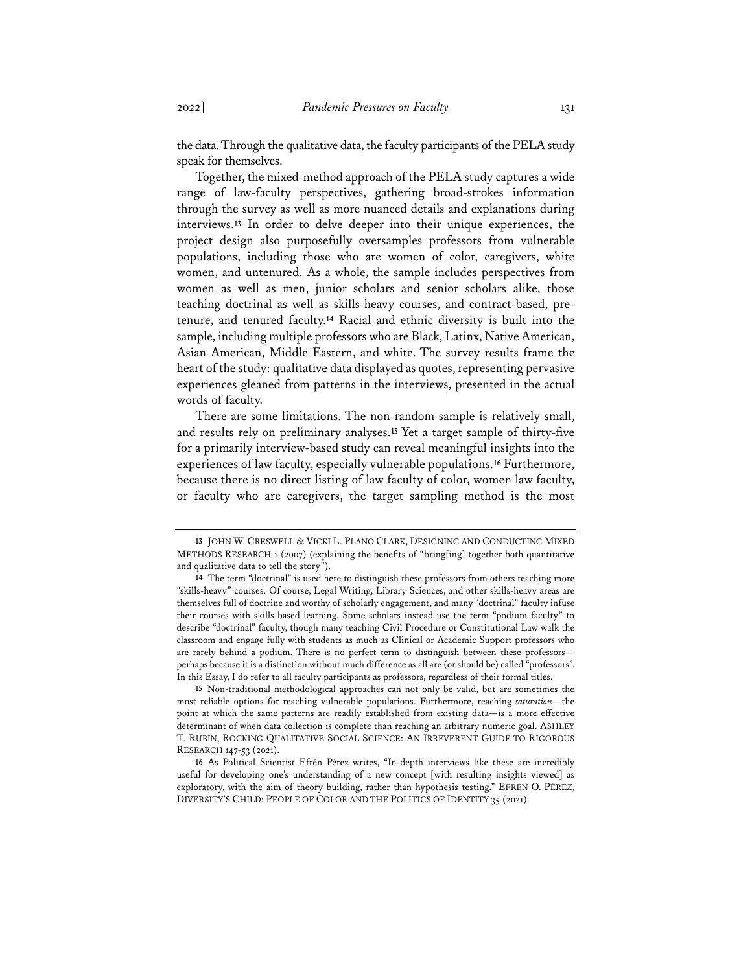the data. Through the qualitative data, the faculty participants of the PELA study speak for themselves.

Together, the mixed-method approach of the PELA study captures a wide range of law-faculty perspectives, gathering broad-strokes information through the survey as well as more nuanced details and explanations during interviews.**<sup>13</sup>** In order to delve deeper into their unique experiences, the project design also purposefully oversamples professors from vulnerable populations, including those who are women of color, caregivers, white women, and untenured. As a whole, the sample includes perspectives from women as well as men, junior scholars and senior scholars alike, those teaching doctrinal as well as skills-heavy courses, and contract-based, pretenure, and tenured faculty.**<sup>14</sup>** Racial and ethnic diversity is built into the sample, including multiple professors who are Black, Latinx, Native American, Asian American, Middle Eastern, and white. The survey results frame the heart of the study: qualitative data displayed as quotes, representing pervasive experiences gleaned from patterns in the interviews, presented in the actual words of faculty.

There are some limitations. The non-random sample is relatively small, and results rely on preliminary analyses.**<sup>15</sup>** Yet a target sample of thirty-five for a primarily interview-based study can reveal meaningful insights into the experiences of law faculty, especially vulnerable populations.**<sup>16</sup>** Furthermore, because there is no direct listing of law faculty of color, women law faculty, or faculty who are caregivers, the target sampling method is the most

**15** Non-traditional methodological approaches can not only be valid, but are sometimes the most reliable options for reaching vulnerable populations. Furthermore, reaching *saturation*—the point at which the same patterns are readily established from existing data—is a more effective determinant of when data collection is complete than reaching an arbitrary numeric goal. ASHLEY T. RUBIN, ROCKING QUALITATIVE SOCIAL SCIENCE: AN IRREVERENT GUIDE TO RIGOROUS RESEARCH 147-53 (2021).

**16** As Political Scientist Efrén Pérez writes, "In-depth interviews like these are incredibly useful for developing one's understanding of a new concept [with resulting insights viewed] as exploratory, with the aim of theory building, rather than hypothesis testing." EFRÉN O. PÉREZ, DIVERSITY'S CHILD: PEOPLE OF COLOR AND THE POLITICS OF IDENTITY 35 (2021).

**<sup>13</sup>** JOHN W. CRESWELL & VICKI L. PLANO CLARK, DESIGNING AND CONDUCTING MIXED METHODS RESEARCH 1 (2007) (explaining the benefits of "bring[ing] together both quantitative and qualitative data to tell the story").

**<sup>14</sup>** The term "doctrinal" is used here to distinguish these professors from others teaching more "skills-heavy" courses. Of course, Legal Writing, Library Sciences, and other skills-heavy areas are themselves full of doctrine and worthy of scholarly engagement, and many "doctrinal" faculty infuse their courses with skills-based learning. Some scholars instead use the term "podium faculty" to describe "doctrinal" faculty, though many teaching Civil Procedure or Constitutional Law walk the classroom and engage fully with students as much as Clinical or Academic Support professors who are rarely behind a podium. There is no perfect term to distinguish between these professors perhaps because it is a distinction without much difference as all are (or should be) called "professors". In this Essay, I do refer to all faculty participants as professors, regardless of their formal titles.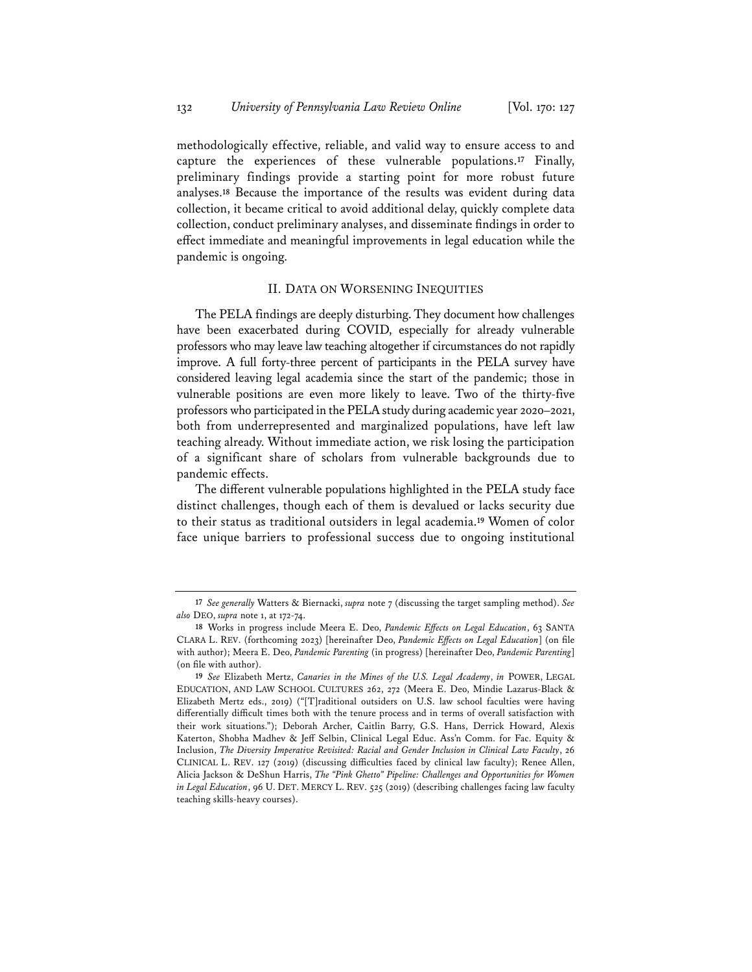methodologically effective, reliable, and valid way to ensure access to and capture the experiences of these vulnerable populations.**<sup>17</sup>** Finally, preliminary findings provide a starting point for more robust future analyses.**<sup>18</sup>** Because the importance of the results was evident during data collection, it became critical to avoid additional delay, quickly complete data collection, conduct preliminary analyses, and disseminate findings in order to effect immediate and meaningful improvements in legal education while the pandemic is ongoing.

## II. DATA ON WORSENING INEQUITIES

The PELA findings are deeply disturbing. They document how challenges have been exacerbated during COVID, especially for already vulnerable professors who may leave law teaching altogether if circumstances do not rapidly improve. A full forty-three percent of participants in the PELA survey have considered leaving legal academia since the start of the pandemic; those in vulnerable positions are even more likely to leave. Two of the thirty-five professors who participated in the PELA study during academic year 2020–2021, both from underrepresented and marginalized populations, have left law teaching already. Without immediate action, we risk losing the participation of a significant share of scholars from vulnerable backgrounds due to pandemic effects.

The different vulnerable populations highlighted in the PELA study face distinct challenges, though each of them is devalued or lacks security due to their status as traditional outsiders in legal academia.**<sup>19</sup>** Women of color face unique barriers to professional success due to ongoing institutional

**<sup>17</sup>** *See generally* Watters & Biernacki, *supra* note 7 (discussing the target sampling method). *See also* DEO, *supra* note 1, at 172-74.

**<sup>18</sup>** Works in progress include Meera E. Deo, *Pandemic Effects on Legal Education*, 63 SANTA CLARA L. REV. (forthcoming 2023) [hereinafter Deo, *Pandemic Effects on Legal Education*] (on file with author); Meera E. Deo, *Pandemic Parenting* (in progress) [hereinafter Deo, *Pandemic Parenting*] (on file with author).

**<sup>19</sup>** *See* Elizabeth Mertz, *Canaries in the Mines of the U.S. Legal Academy*, *in* POWER, LEGAL EDUCATION, AND LAW SCHOOL CULTURES 262, 272 (Meera E. Deo, Mindie Lazarus-Black & Elizabeth Mertz eds., 2019) ("[T]raditional outsiders on U.S. law school faculties were having differentially difficult times both with the tenure process and in terms of overall satisfaction with their work situations."); Deborah Archer, Caitlin Barry, G.S. Hans, Derrick Howard, Alexis Katerton, Shobha Madhev & Jeff Selbin, Clinical Legal Educ. Ass'n Comm. for Fac. Equity & Inclusion, *The Diversity Imperative Revisited: Racial and Gender Inclusion in Clinical Law Faculty*, 26 CLINICAL L. REV. 127 (2019) (discussing difficulties faced by clinical law faculty); Renee Allen, Alicia Jackson & DeShun Harris, *The "Pink Ghetto" Pipeline: Challenges and Opportunities for Women in Legal Education*, 96 U. DET. MERCY L. REV. 525 (2019) (describing challenges facing law faculty teaching skills-heavy courses).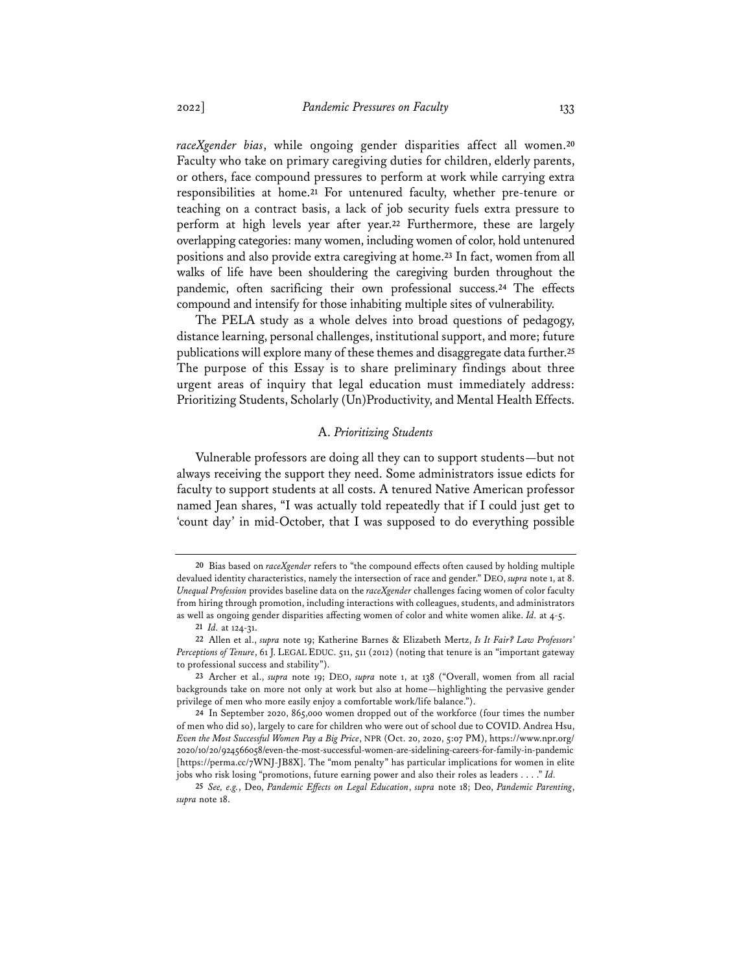*raceXgender bias*, while ongoing gender disparities affect all women.**<sup>20</sup>** Faculty who take on primary caregiving duties for children, elderly parents, or others, face compound pressures to perform at work while carrying extra responsibilities at home.**<sup>21</sup>** For untenured faculty, whether pre-tenure or teaching on a contract basis, a lack of job security fuels extra pressure to perform at high levels year after year.**<sup>22</sup>** Furthermore, these are largely overlapping categories: many women, including women of color, hold untenured positions and also provide extra caregiving at home.**<sup>23</sup>** In fact, women from all walks of life have been shouldering the caregiving burden throughout the pandemic, often sacrificing their own professional success.**<sup>24</sup>** The effects compound and intensify for those inhabiting multiple sites of vulnerability.

The PELA study as a whole delves into broad questions of pedagogy, distance learning, personal challenges, institutional support, and more; future publications will explore many of these themes and disaggregate data further.**<sup>25</sup>** The purpose of this Essay is to share preliminary findings about three urgent areas of inquiry that legal education must immediately address: Prioritizing Students, Scholarly (Un)Productivity, and Mental Health Effects.

#### A. *Prioritizing Students*

Vulnerable professors are doing all they can to support students—but not always receiving the support they need. Some administrators issue edicts for faculty to support students at all costs. A tenured Native American professor named Jean shares, "I was actually told repeatedly that if I could just get to 'count day' in mid-October, that I was supposed to do everything possible

**<sup>20</sup>** Bias based on *raceXgender* refers to "the compound effects often caused by holding multiple devalued identity characteristics, namely the intersection of race and gender." DEO, *supra* note 1, at 8. *Unequal Profession* provides baseline data on the *raceXgender* challenges facing women of color faculty from hiring through promotion, including interactions with colleagues, students, and administrators as well as ongoing gender disparities affecting women of color and white women alike. *Id.* at 4-5.

**<sup>21</sup>** *Id.* at 124-31.

**<sup>22</sup>** Allen et al., *supra* note 19; Katherine Barnes & Elizabeth Mertz, *Is It Fair? Law Professors' Perceptions of Tenure*, 61 J. LEGAL EDUC. 511, 511 (2012) (noting that tenure is an "important gateway to professional success and stability").

**<sup>23</sup>** Archer et al., *supra* note 19; DEO, *supra* note 1, at 138 ("Overall, women from all racial backgrounds take on more not only at work but also at home—highlighting the pervasive gender privilege of men who more easily enjoy a comfortable work/life balance.").

**<sup>24</sup>** In September 2020, 865,000 women dropped out of the workforce (four times the number of men who did so), largely to care for children who were out of school due to COVID. Andrea Hsu, *Even the Most Successful Women Pay a Big Price*, NPR (Oct. 20, 2020, 5:07 PM), https://www.npr.org/ 2020/10/20/924566058/even-the-most-successful-women-are-sidelining-careers-for-family-in-pandemic [https://perma.cc/7WNJ-JB8X]. The "mom penalty" has particular implications for women in elite jobs who risk losing "promotions, future earning power and also their roles as leaders . . . ." *Id.*

**<sup>25</sup>** *See, e.g.*, Deo, *Pandemic Effects on Legal Education*, *supra* note 18; Deo, *Pandemic Parenting*, *supra* note 18.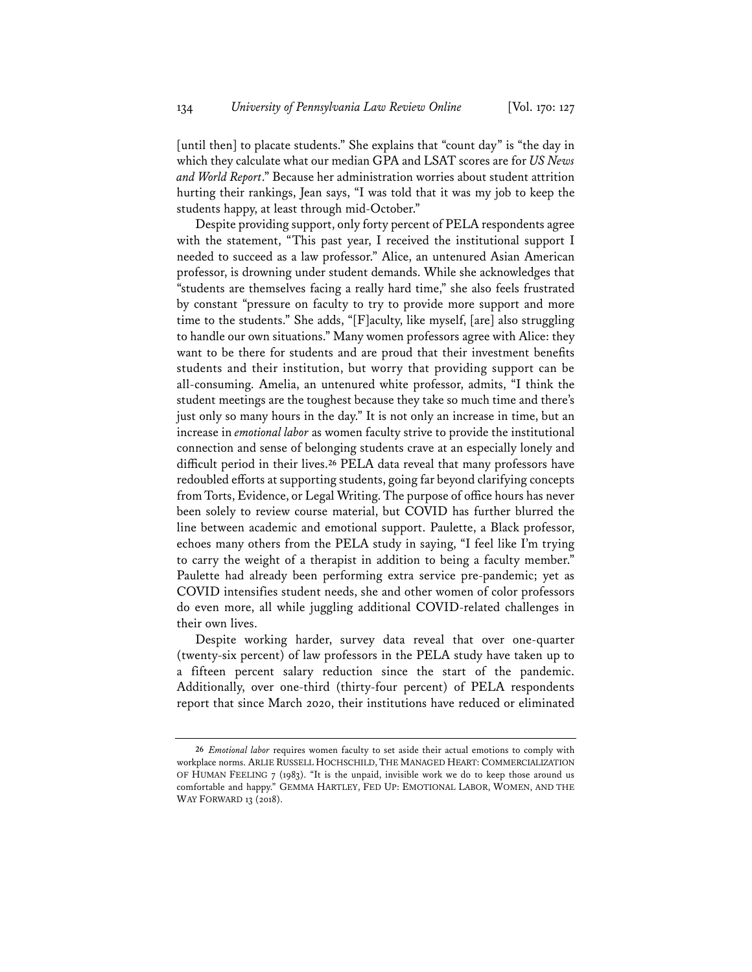[until then] to placate students." She explains that "count day" is "the day in which they calculate what our median GPA and LSAT scores are for *US News and World Report*." Because her administration worries about student attrition hurting their rankings, Jean says, "I was told that it was my job to keep the students happy, at least through mid-October."

Despite providing support, only forty percent of PELA respondents agree with the statement, "This past year, I received the institutional support I needed to succeed as a law professor." Alice, an untenured Asian American professor, is drowning under student demands. While she acknowledges that "students are themselves facing a really hard time," she also feels frustrated by constant "pressure on faculty to try to provide more support and more time to the students." She adds, "[F]aculty, like myself, [are] also struggling to handle our own situations." Many women professors agree with Alice: they want to be there for students and are proud that their investment benefits students and their institution, but worry that providing support can be all-consuming. Amelia, an untenured white professor, admits, "I think the student meetings are the toughest because they take so much time and there's just only so many hours in the day." It is not only an increase in time, but an increase in *emotional labor* as women faculty strive to provide the institutional connection and sense of belonging students crave at an especially lonely and difficult period in their lives.**<sup>26</sup>** PELA data reveal that many professors have redoubled efforts at supporting students, going far beyond clarifying concepts from Torts, Evidence, or Legal Writing. The purpose of office hours has never been solely to review course material, but COVID has further blurred the line between academic and emotional support. Paulette, a Black professor, echoes many others from the PELA study in saying, "I feel like I'm trying to carry the weight of a therapist in addition to being a faculty member." Paulette had already been performing extra service pre-pandemic; yet as COVID intensifies student needs, she and other women of color professors do even more, all while juggling additional COVID-related challenges in their own lives.

Despite working harder, survey data reveal that over one-quarter (twenty-six percent) of law professors in the PELA study have taken up to a fifteen percent salary reduction since the start of the pandemic. Additionally, over one-third (thirty-four percent) of PELA respondents report that since March 2020, their institutions have reduced or eliminated

**<sup>26</sup>** *Emotional labor* requires women faculty to set aside their actual emotions to comply with workplace norms. ARLIE RUSSELL HOCHSCHILD, THE MANAGED HEART: COMMERCIALIZATION OF HUMAN FEELING 7 (1983). "It is the unpaid, invisible work we do to keep those around us comfortable and happy." GEMMA HARTLEY, FED UP: EMOTIONAL LABOR, WOMEN, AND THE WAY FORWARD 13 (2018).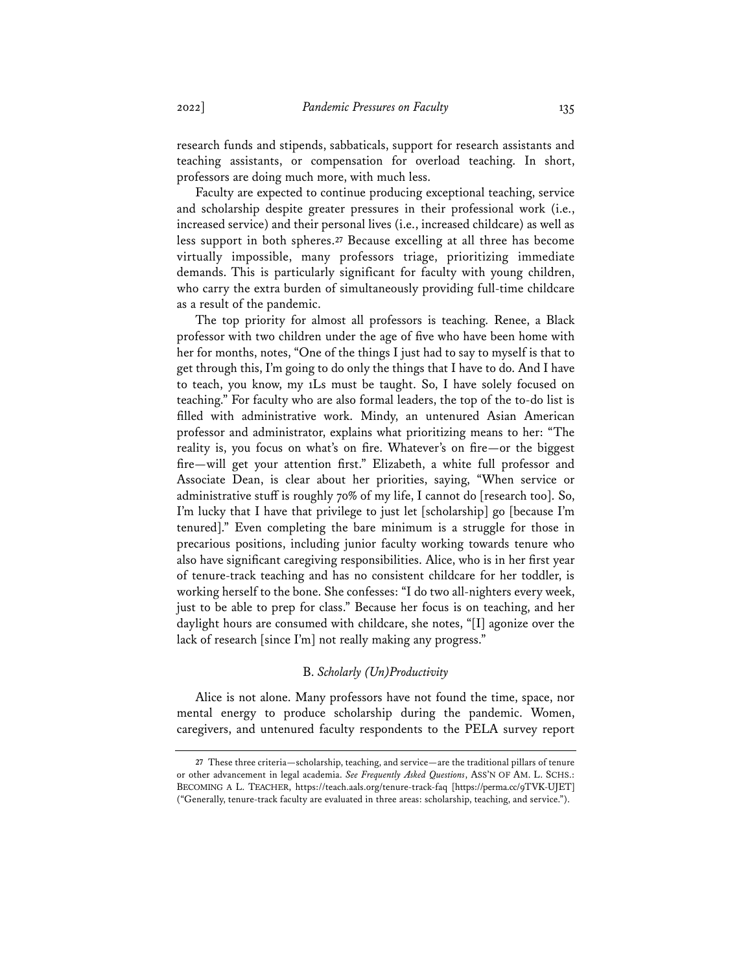research funds and stipends, sabbaticals, support for research assistants and teaching assistants, or compensation for overload teaching. In short, professors are doing much more, with much less.

Faculty are expected to continue producing exceptional teaching, service and scholarship despite greater pressures in their professional work (i.e., increased service) and their personal lives (i.e., increased childcare) as well as less support in both spheres.**<sup>27</sup>** Because excelling at all three has become virtually impossible, many professors triage, prioritizing immediate demands. This is particularly significant for faculty with young children, who carry the extra burden of simultaneously providing full-time childcare as a result of the pandemic.

The top priority for almost all professors is teaching. Renee, a Black professor with two children under the age of five who have been home with her for months, notes, "One of the things I just had to say to myself is that to get through this, I'm going to do only the things that I have to do. And I have to teach, you know, my 1Ls must be taught. So, I have solely focused on teaching." For faculty who are also formal leaders, the top of the to-do list is filled with administrative work. Mindy, an untenured Asian American professor and administrator, explains what prioritizing means to her: "The reality is, you focus on what's on fire. Whatever's on fire—or the biggest fire—will get your attention first." Elizabeth, a white full professor and Associate Dean, is clear about her priorities, saying, "When service or administrative stuff is roughly 70% of my life, I cannot do [research too]. So, I'm lucky that I have that privilege to just let [scholarship] go [because I'm tenured]." Even completing the bare minimum is a struggle for those in precarious positions, including junior faculty working towards tenure who also have significant caregiving responsibilities. Alice, who is in her first year of tenure-track teaching and has no consistent childcare for her toddler, is working herself to the bone. She confesses: "I do two all-nighters every week, just to be able to prep for class." Because her focus is on teaching, and her daylight hours are consumed with childcare, she notes, "[I] agonize over the lack of research [since I'm] not really making any progress."

## B. *Scholarly (Un)Productivity*

Alice is not alone. Many professors have not found the time, space, nor mental energy to produce scholarship during the pandemic. Women, caregivers, and untenured faculty respondents to the PELA survey report

**<sup>27</sup>** These three criteria—scholarship, teaching, and service—are the traditional pillars of tenure or other advancement in legal academia. *See Frequently Asked Questions*, ASS'N OF AM. L. SCHS.: BECOMING A L. TEACHER, https://teach.aals.org/tenure-track-faq [https://perma.cc/9TVK-UJET] ("Generally, tenure-track faculty are evaluated in three areas: scholarship, teaching, and service.").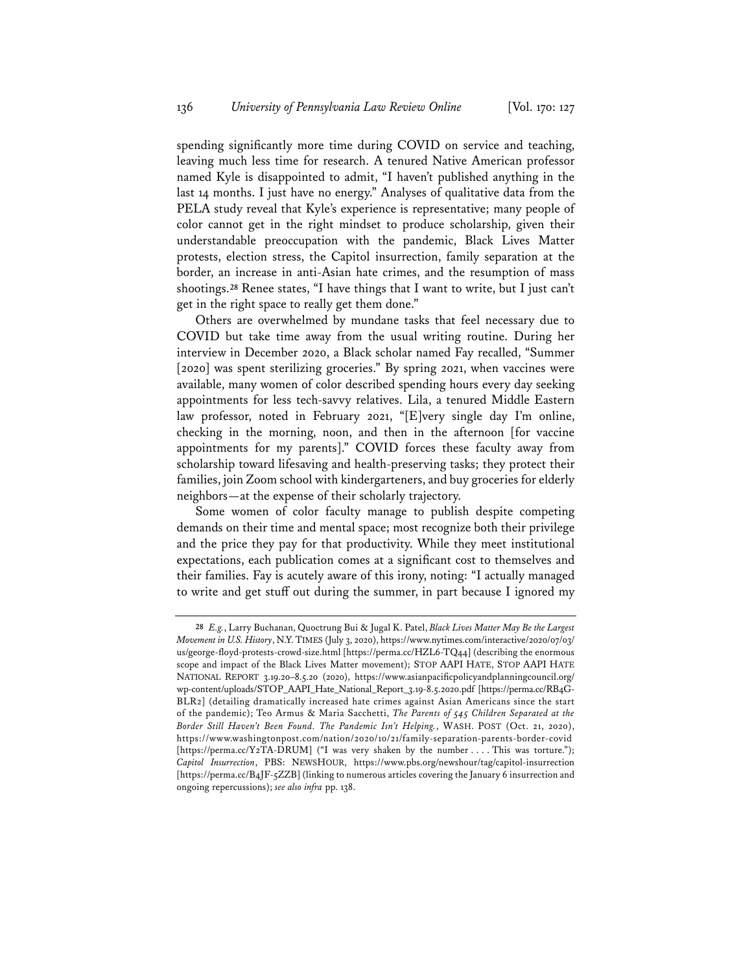spending significantly more time during COVID on service and teaching, leaving much less time for research. A tenured Native American professor named Kyle is disappointed to admit, "I haven't published anything in the last 14 months. I just have no energy." Analyses of qualitative data from the PELA study reveal that Kyle's experience is representative; many people of color cannot get in the right mindset to produce scholarship, given their understandable preoccupation with the pandemic, Black Lives Matter protests, election stress, the Capitol insurrection, family separation at the border, an increase in anti-Asian hate crimes, and the resumption of mass shootings.**<sup>28</sup>** Renee states, "I have things that I want to write, but I just can't get in the right space to really get them done."

Others are overwhelmed by mundane tasks that feel necessary due to COVID but take time away from the usual writing routine. During her interview in December 2020, a Black scholar named Fay recalled, "Summer [2020] was spent sterilizing groceries." By spring 2021, when vaccines were available, many women of color described spending hours every day seeking appointments for less tech-savvy relatives. Lila, a tenured Middle Eastern law professor, noted in February 2021, "[E]very single day I'm online, checking in the morning, noon, and then in the afternoon [for vaccine appointments for my parents]." COVID forces these faculty away from scholarship toward lifesaving and health-preserving tasks; they protect their families, join Zoom school with kindergarteners, and buy groceries for elderly neighbors—at the expense of their scholarly trajectory.

Some women of color faculty manage to publish despite competing demands on their time and mental space; most recognize both their privilege and the price they pay for that productivity. While they meet institutional expectations, each publication comes at a significant cost to themselves and their families. Fay is acutely aware of this irony, noting: "I actually managed to write and get stuff out during the summer, in part because I ignored my

**<sup>28</sup>** *E.g.*, Larry Buchanan, Quoctrung Bui & Jugal K. Patel, *Black Lives Matter May Be the Largest Movement in U.S. History*, N.Y.TIMES (July 3, 2020), https://www.nytimes.com/interactive/2020/07/03/ us/george-floyd-protests-crowd-size.html [https://perma.cc/HZL6-TQ44] (describing the enormous scope and impact of the Black Lives Matter movement); STOP AAPI HATE, STOP AAPI HATE NATIONAL REPORT 3.19.20–8.5.20 (2020), https://www.asianpacificpolicyandplanningcouncil.org/ wp-content/uploads/STOP\_AAPI\_Hate\_National\_Report\_3.19-8.5.2020.pdf [https://perma.cc/RB4G-BLR2] (detailing dramatically increased hate crimes against Asian Americans since the start of the pandemic); Teo Armus & Maria Sacchetti, *The Parents of 545 Children Separated at the Border Still Haven't Been Found. The Pandemic Isn't Helping.*, WASH. POST (Oct. 21, 2020), https://www.washingtonpost.com/nation/2020/10/21/family-separation-parents-border-covid [https://perma.cc/Y2TA-DRUM] ("I was very shaken by the number . . . . This was torture."); *Capitol Insurrection*, PBS: NEWSHOUR, https://www.pbs.org/newshour/tag/capitol-insurrection [https://perma.cc/B4JF-5ZZB] (linking to numerous articles covering the January 6 insurrection and ongoing repercussions); *see also infra* pp. 138.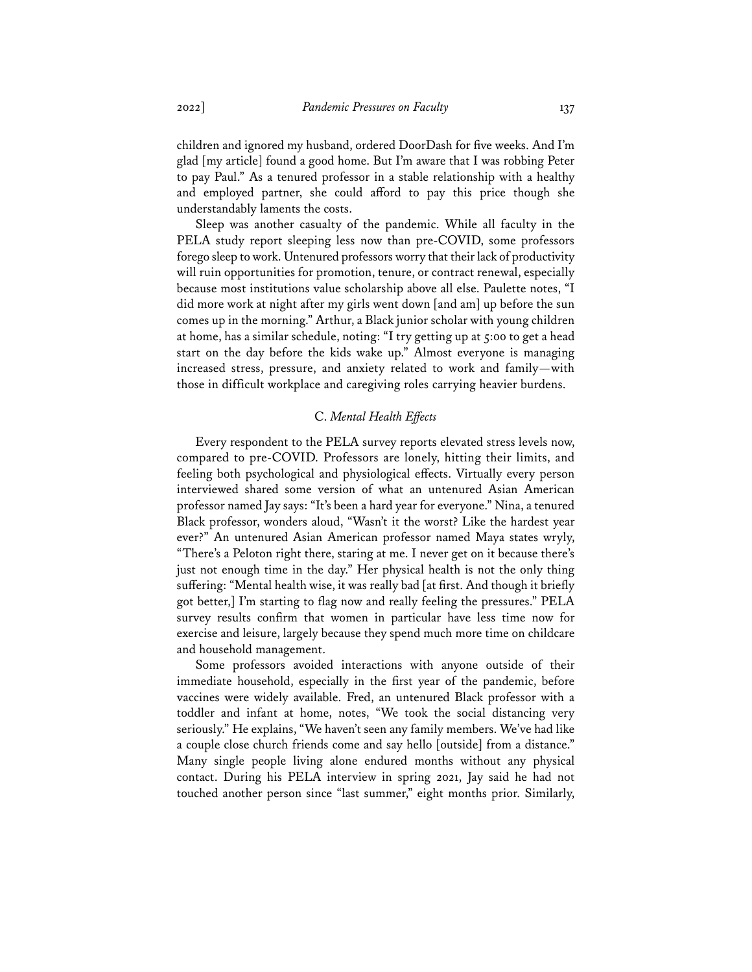children and ignored my husband, ordered DoorDash for five weeks. And I'm glad [my article] found a good home. But I'm aware that I was robbing Peter to pay Paul." As a tenured professor in a stable relationship with a healthy and employed partner, she could afford to pay this price though she understandably laments the costs.

Sleep was another casualty of the pandemic. While all faculty in the PELA study report sleeping less now than pre-COVID, some professors forego sleep to work. Untenured professors worry that their lack of productivity will ruin opportunities for promotion, tenure, or contract renewal, especially because most institutions value scholarship above all else. Paulette notes, "I did more work at night after my girls went down [and am] up before the sun comes up in the morning." Arthur, a Black junior scholar with young children at home, has a similar schedule, noting: "I try getting up at 5:00 to get a head start on the day before the kids wake up." Almost everyone is managing increased stress, pressure, and anxiety related to work and family—with those in difficult workplace and caregiving roles carrying heavier burdens.

## C. *Mental Health Effects*

Every respondent to the PELA survey reports elevated stress levels now, compared to pre-COVID. Professors are lonely, hitting their limits, and feeling both psychological and physiological effects. Virtually every person interviewed shared some version of what an untenured Asian American professor named Jay says: "It's been a hard year for everyone." Nina, a tenured Black professor, wonders aloud, "Wasn't it the worst? Like the hardest year ever?" An untenured Asian American professor named Maya states wryly, "There's a Peloton right there, staring at me. I never get on it because there's just not enough time in the day." Her physical health is not the only thing suffering: "Mental health wise, it was really bad [at first. And though it briefly got better,] I'm starting to flag now and really feeling the pressures." PELA survey results confirm that women in particular have less time now for exercise and leisure, largely because they spend much more time on childcare and household management.

Some professors avoided interactions with anyone outside of their immediate household, especially in the first year of the pandemic, before vaccines were widely available. Fred, an untenured Black professor with a toddler and infant at home, notes, "We took the social distancing very seriously." He explains, "We haven't seen any family members. We've had like a couple close church friends come and say hello [outside] from a distance." Many single people living alone endured months without any physical contact. During his PELA interview in spring 2021, Jay said he had not touched another person since "last summer," eight months prior. Similarly,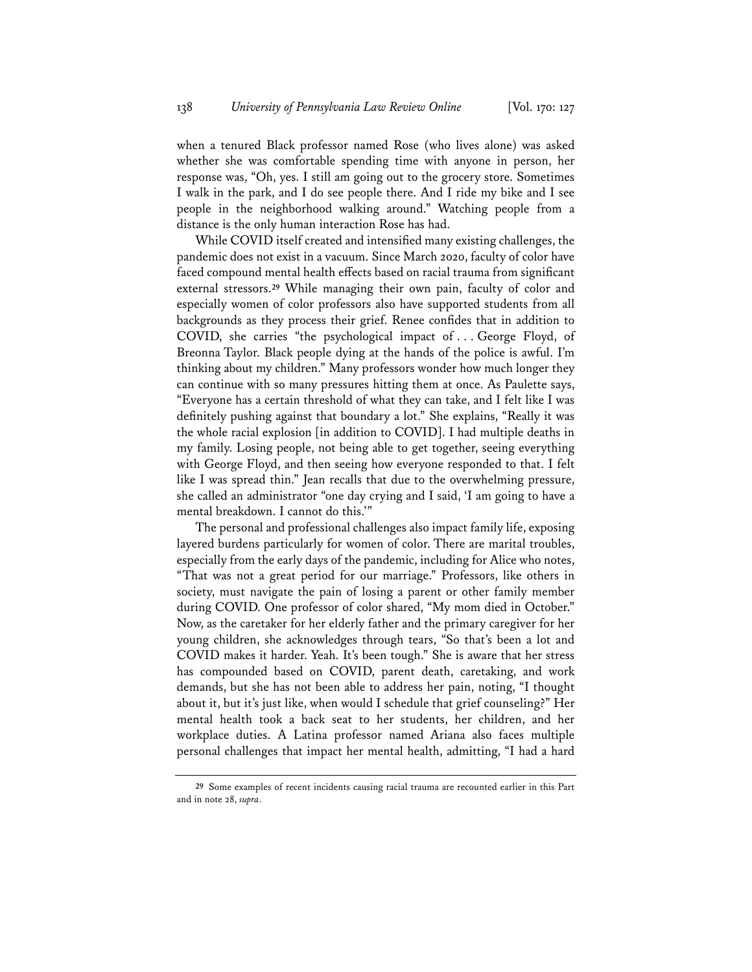when a tenured Black professor named Rose (who lives alone) was asked whether she was comfortable spending time with anyone in person, her response was, "Oh, yes. I still am going out to the grocery store. Sometimes I walk in the park, and I do see people there. And I ride my bike and I see people in the neighborhood walking around." Watching people from a distance is the only human interaction Rose has had.

While COVID itself created and intensified many existing challenges, the pandemic does not exist in a vacuum. Since March 2020, faculty of color have faced compound mental health effects based on racial trauma from significant external stressors.**<sup>29</sup>** While managing their own pain, faculty of color and especially women of color professors also have supported students from all backgrounds as they process their grief. Renee confides that in addition to COVID, she carries "the psychological impact of . . . George Floyd, of Breonna Taylor. Black people dying at the hands of the police is awful. I'm thinking about my children." Many professors wonder how much longer they can continue with so many pressures hitting them at once. As Paulette says, "Everyone has a certain threshold of what they can take, and I felt like I was definitely pushing against that boundary a lot." She explains, "Really it was the whole racial explosion [in addition to COVID]. I had multiple deaths in my family. Losing people, not being able to get together, seeing everything with George Floyd, and then seeing how everyone responded to that. I felt like I was spread thin." Jean recalls that due to the overwhelming pressure, she called an administrator "one day crying and I said, 'I am going to have a mental breakdown. I cannot do this.'"

The personal and professional challenges also impact family life, exposing layered burdens particularly for women of color. There are marital troubles, especially from the early days of the pandemic, including for Alice who notes, "That was not a great period for our marriage." Professors, like others in society, must navigate the pain of losing a parent or other family member during COVID. One professor of color shared, "My mom died in October." Now, as the caretaker for her elderly father and the primary caregiver for her young children, she acknowledges through tears, "So that's been a lot and COVID makes it harder. Yeah. It's been tough." She is aware that her stress has compounded based on COVID, parent death, caretaking, and work demands, but she has not been able to address her pain, noting, "I thought about it, but it's just like, when would I schedule that grief counseling?" Her mental health took a back seat to her students, her children, and her workplace duties. A Latina professor named Ariana also faces multiple personal challenges that impact her mental health, admitting, "I had a hard

**<sup>29</sup>** Some examples of recent incidents causing racial trauma are recounted earlier in this Part and in note 28, *supra*.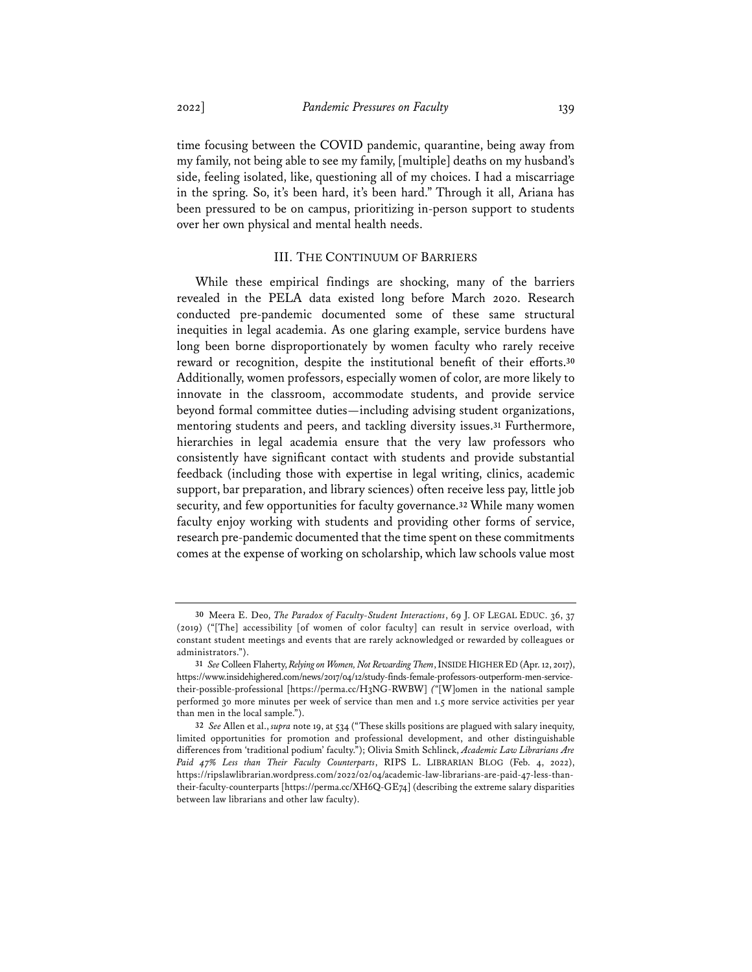time focusing between the COVID pandemic, quarantine, being away from my family, not being able to see my family, [multiple] deaths on my husband's side, feeling isolated, like, questioning all of my choices. I had a miscarriage in the spring. So, it's been hard, it's been hard." Through it all, Ariana has been pressured to be on campus, prioritizing in-person support to students over her own physical and mental health needs.

## III. THE CONTINUUM OF BARRIERS

While these empirical findings are shocking, many of the barriers revealed in the PELA data existed long before March 2020. Research conducted pre-pandemic documented some of these same structural inequities in legal academia. As one glaring example, service burdens have long been borne disproportionately by women faculty who rarely receive reward or recognition, despite the institutional benefit of their efforts.**<sup>30</sup>** Additionally, women professors, especially women of color, are more likely to innovate in the classroom, accommodate students, and provide service beyond formal committee duties—including advising student organizations, mentoring students and peers, and tackling diversity issues.**<sup>31</sup>** Furthermore, hierarchies in legal academia ensure that the very law professors who consistently have significant contact with students and provide substantial feedback (including those with expertise in legal writing, clinics, academic support, bar preparation, and library sciences) often receive less pay, little job security, and few opportunities for faculty governance.**<sup>32</sup>** While many women faculty enjoy working with students and providing other forms of service, research pre-pandemic documented that the time spent on these commitments comes at the expense of working on scholarship, which law schools value most

**<sup>30</sup>** Meera E. Deo, *The Paradox of Faculty-Student Interactions*, 69 J. OF LEGAL EDUC. 36, 37 (2019) ("[The] accessibility [of women of color faculty] can result in service overload, with constant student meetings and events that are rarely acknowledged or rewarded by colleagues or administrators.").

**<sup>31</sup>** *See* Colleen Flaherty, *Relying on Women, Not Rewarding Them*, INSIDE HIGHER ED (Apr. 12, 2017), https://www.insidehighered.com/news/2017/04/12/study-finds-female-professors-outperform-men-servicetheir-possible-professional [https://perma.cc/H3NG-RWBW] *("*[W]omen in the national sample performed 30 more minutes per week of service than men and 1.5 more service activities per year than men in the local sample.").

**<sup>32</sup>** *See* Allen et al., *supra* note 19, at 534 ("These skills positions are plagued with salary inequity, limited opportunities for promotion and professional development, and other distinguishable differences from 'traditional podium' faculty."); Olivia Smith Schlinck, *Academic Law Librarians Are Paid 47% Less than Their Faculty Counterparts*, RIPS L. LIBRARIAN BLOG (Feb. 4, 2022), https://ripslawlibrarian.wordpress.com/2022/02/04/academic-law-librarians-are-paid-47-less-thantheir-faculty-counterparts [https://perma.cc/XH6Q-GE74] (describing the extreme salary disparities between law librarians and other law faculty).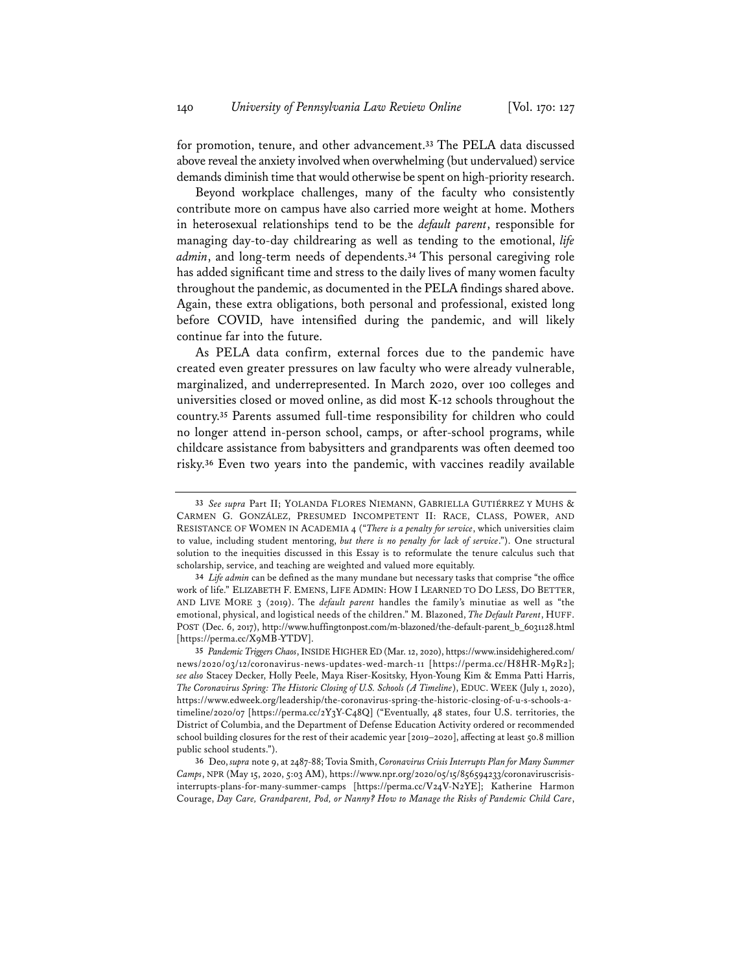for promotion, tenure, and other advancement.**<sup>33</sup>** The PELA data discussed above reveal the anxiety involved when overwhelming (but undervalued) service demands diminish time that would otherwise be spent on high-priority research.

Beyond workplace challenges, many of the faculty who consistently contribute more on campus have also carried more weight at home. Mothers in heterosexual relationships tend to be the *default parent*, responsible for managing day-to-day childrearing as well as tending to the emotional, *life admin*, and long-term needs of dependents.**<sup>34</sup>** This personal caregiving role has added significant time and stress to the daily lives of many women faculty throughout the pandemic, as documented in the PELA findings shared above. Again, these extra obligations, both personal and professional, existed long before COVID, have intensified during the pandemic, and will likely continue far into the future.

As PELA data confirm, external forces due to the pandemic have created even greater pressures on law faculty who were already vulnerable, marginalized, and underrepresented. In March 2020, over 100 colleges and universities closed or moved online, as did most K-12 schools throughout the country.**<sup>35</sup>** Parents assumed full-time responsibility for children who could no longer attend in-person school, camps, or after-school programs, while childcare assistance from babysitters and grandparents was often deemed too risky.**<sup>36</sup>** Even two years into the pandemic, with vaccines readily available

**<sup>33</sup>** *See supra* Part II; YOLANDA FLORES NIEMANN, GABRIELLA GUTIÉRREZ Y MUHS & CARMEN G. GONZÁLEZ, PRESUMED INCOMPETENT II: RACE, CLASS, POWER, AND RESISTANCE OF WOMEN IN ACADEMIA 4 ("*There is a penalty for service*, which universities claim to value, including student mentoring, *but there is no penalty for lack of service*."). One structural solution to the inequities discussed in this Essay is to reformulate the tenure calculus such that scholarship, service, and teaching are weighted and valued more equitably.

**<sup>34</sup>** *Life admin* can be defined as the many mundane but necessary tasks that comprise "the office work of life." ELIZABETH F. EMENS, LIFE ADMIN: HOW I LEARNED TO DO LESS, DO BETTER, AND LIVE MORE 3 (2019). The *default parent* handles the family's minutiae as well as "the emotional, physical, and logistical needs of the children." M. Blazoned, *The Default Parent*, HUFF. POST (Dec. 6, 2017), http://www.huffingtonpost.com/m-blazoned/the-default-parent\_b\_6031128.html [https://perma.cc/X9MB-YTDV].

**<sup>35</sup>** *Pandemic Triggers Chaos*, INSIDE HIGHER ED (Mar. 12, 2020), https://www.insidehighered.com/ news/2020/03/12/coronavirus-news-updates-wed-march-11 [https://perma.cc/H8HR-M9R2]; *see also* Stacey Decker, Holly Peele, Maya Riser-Kositsky, Hyon-Young Kim & Emma Patti Harris, *The Coronavirus Spring: The Historic Closing of U.S. Schools (A Timeline*), EDUC. WEEK (July 1, 2020), https://www.edweek.org/leadership/the-coronavirus-spring-the-historic-closing-of-u-s-schools-atimeline/2020/07 [https://perma.cc/2Y3Y-C48Q] ("Eventually, 48 states, four U.S. territories, the District of Columbia, and the Department of Defense Education Activity ordered or recommended school building closures for the rest of their academic year [2019–2020], affecting at least 50.8 million public school students.").

**<sup>36</sup>** Deo, *supra* note 9, at 2487-88; Tovia Smith, *Coronavirus Crisis Interrupts Plan for Many Summer Camps*, NPR (May 15, 2020, 5:03 AM), https://www.npr.org/2020/05/15/856594233/coronaviruscrisisinterrupts-plans-for-many-summer-camps [https://perma.cc/V24V-N2YE]; Katherine Harmon Courage, *Day Care, Grandparent, Pod, or Nanny? How to Manage the Risks of Pandemic Child Care*,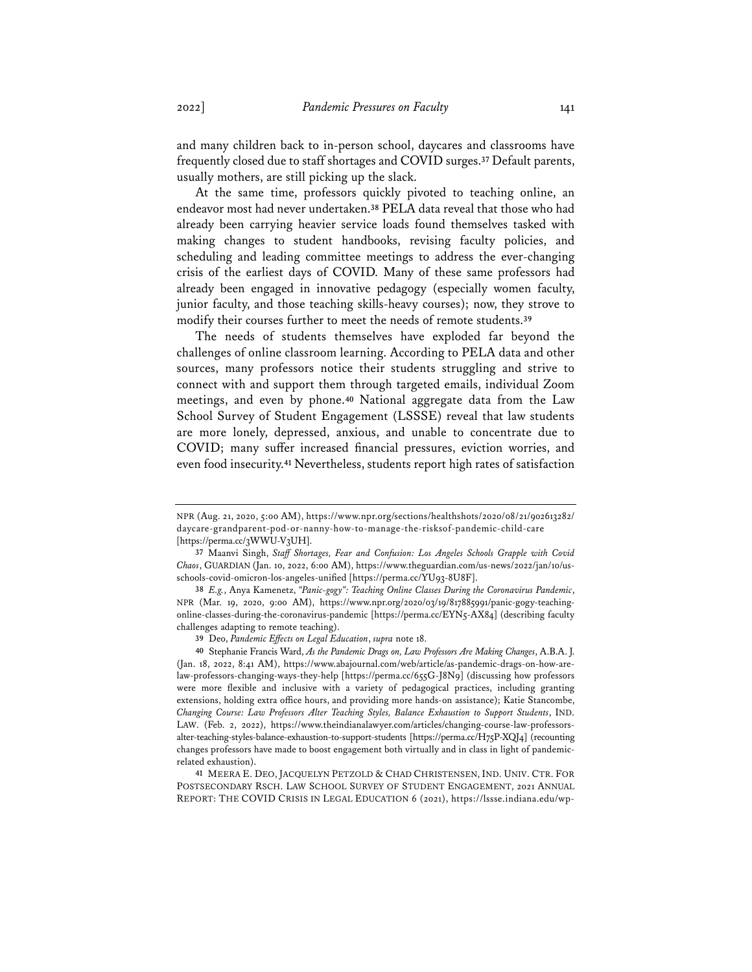and many children back to in-person school, daycares and classrooms have frequently closed due to staff shortages and COVID surges.**<sup>37</sup>** Default parents, usually mothers, are still picking up the slack.

At the same time, professors quickly pivoted to teaching online, an endeavor most had never undertaken.**<sup>38</sup>** PELA data reveal that those who had already been carrying heavier service loads found themselves tasked with making changes to student handbooks, revising faculty policies, and scheduling and leading committee meetings to address the ever-changing crisis of the earliest days of COVID. Many of these same professors had already been engaged in innovative pedagogy (especially women faculty, junior faculty, and those teaching skills-heavy courses); now, they strove to modify their courses further to meet the needs of remote students.**<sup>39</sup>**

The needs of students themselves have exploded far beyond the challenges of online classroom learning. According to PELA data and other sources, many professors notice their students struggling and strive to connect with and support them through targeted emails, individual Zoom meetings, and even by phone.**<sup>40</sup>** National aggregate data from the Law School Survey of Student Engagement (LSSSE) reveal that law students are more lonely, depressed, anxious, and unable to concentrate due to COVID; many suffer increased financial pressures, eviction worries, and even food insecurity.**<sup>41</sup>** Nevertheless, students report high rates of satisfaction

**41** MEERA E. DEO, JACQUELYN PETZOLD & CHAD CHRISTENSEN, IND. UNIV. CTR. FOR POSTSECONDARY RSCH. LAW SCHOOL SURVEY OF STUDENT ENGAGEMENT, 2021 ANNUAL REPORT: THE COVID CRISIS IN LEGAL EDUCATION 6 (2021), https://lssse.indiana.edu/wp-

NPR (Aug. 21, 2020, 5:00 AM), https://www.npr.org/sections/healthshots/2020/08/21/902613282/ daycare-grandparent-pod-or-nanny-how-to-manage-the-risksof-pandemic-child-care [https://perma.cc/3WWU-V3UH].

**<sup>37</sup>** Maanvi Singh, *Staff Shortages, Fear and Confusion: Los Angeles Schools Grapple with Covid Chaos*, GUARDIAN (Jan. 10, 2022, 6:00 AM), https://www.theguardian.com/us-news/2022/jan/10/usschools-covid-omicron-los-angeles-unified [https://perma.cc/YU93-8U8F].

**<sup>38</sup>** *E.g.*, Anya Kamenetz, *"Panic-gogy": Teaching Online Classes During the Coronavirus Pandemic*, NPR (Mar. 19, 2020, 9:00 AM), https://www.npr.org/2020/03/19/817885991/panic-gogy-teachingonline-classes-during-the-coronavirus-pandemic [https://perma.cc/EYN5-AX84] (describing faculty challenges adapting to remote teaching).

**<sup>39</sup>** Deo, *Pandemic Effects on Legal Education*, *supra* note 18.

**<sup>40</sup>** Stephanie Francis Ward, *As the Pandemic Drags on, Law Professors Are Making Changes*, A.B.A. J. (Jan. 18, 2022, 8:41 AM), https://www.abajournal.com/web/article/as-pandemic-drags-on-how-arelaw-professors-changing-ways-they-help [https://perma.cc/655G-J8N9] (discussing how professors were more flexible and inclusive with a variety of pedagogical practices, including granting extensions, holding extra office hours, and providing more hands-on assistance); Katie Stancombe, *Changing Course: Law Professors Alter Teaching Styles, Balance Exhaustion to Support Students*, IND. LAW. (Feb. 2, 2022), https://www.theindianalawyer.com/articles/changing-course-law-professorsalter-teaching-styles-balance-exhaustion-to-support-students [https://perma.cc/H75P-XQJ4] (recounting changes professors have made to boost engagement both virtually and in class in light of pandemicrelated exhaustion).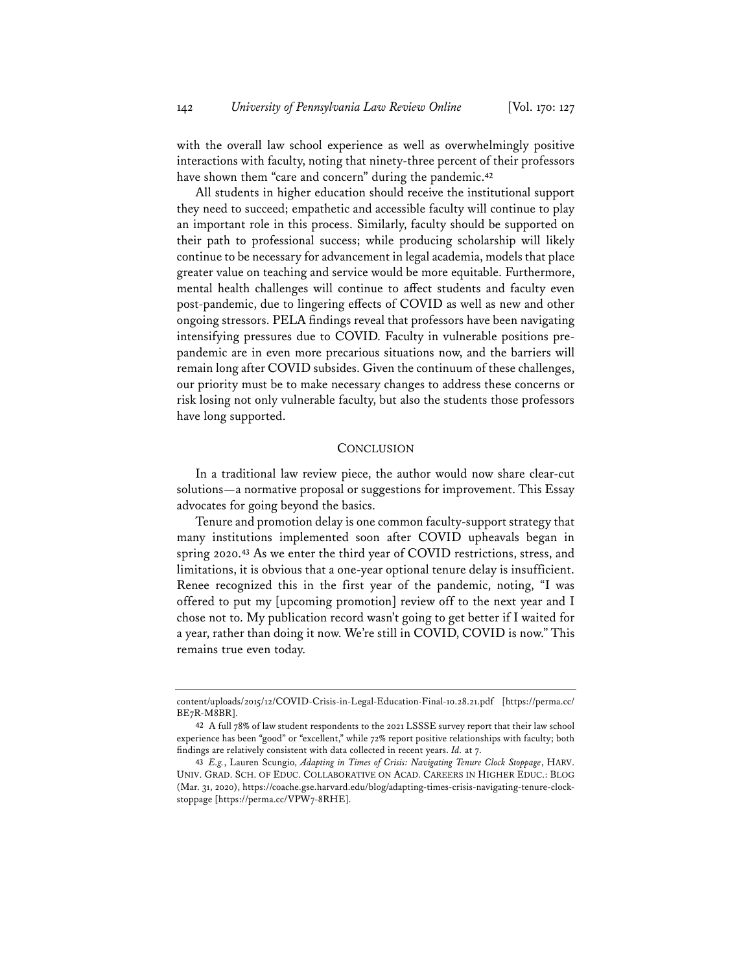with the overall law school experience as well as overwhelmingly positive interactions with faculty, noting that ninety-three percent of their professors have shown them "care and concern" during the pandemic.**<sup>42</sup>**

All students in higher education should receive the institutional support they need to succeed; empathetic and accessible faculty will continue to play an important role in this process. Similarly, faculty should be supported on their path to professional success; while producing scholarship will likely continue to be necessary for advancement in legal academia, models that place greater value on teaching and service would be more equitable. Furthermore, mental health challenges will continue to affect students and faculty even post-pandemic, due to lingering effects of COVID as well as new and other ongoing stressors. PELA findings reveal that professors have been navigating intensifying pressures due to COVID. Faculty in vulnerable positions prepandemic are in even more precarious situations now, and the barriers will remain long after COVID subsides. Given the continuum of these challenges, our priority must be to make necessary changes to address these concerns or risk losing not only vulnerable faculty, but also the students those professors have long supported.

#### **CONCLUSION**

In a traditional law review piece, the author would now share clear-cut solutions—a normative proposal or suggestions for improvement. This Essay advocates for going beyond the basics.

Tenure and promotion delay is one common faculty-support strategy that many institutions implemented soon after COVID upheavals began in spring 2020.**<sup>43</sup>** As we enter the third year of COVID restrictions, stress, and limitations, it is obvious that a one-year optional tenure delay is insufficient. Renee recognized this in the first year of the pandemic, noting, "I was offered to put my [upcoming promotion] review off to the next year and I chose not to. My publication record wasn't going to get better if I waited for a year, rather than doing it now. We're still in COVID, COVID is now." This remains true even today.

content/uploads/2015/12/COVID-Crisis-in-Legal-Education-Final-10.28.21.pdf [https://perma.cc/ BE7R-M8BR].

**<sup>42</sup>** A full 78% of law student respondents to the 2021 LSSSE survey report that their law school experience has been "good" or "excellent," while 72% report positive relationships with faculty; both findings are relatively consistent with data collected in recent years. *Id.* at 7.

**<sup>43</sup>** *E.g.*, Lauren Scungio, *Adapting in Times of Crisis: Navigating Tenure Clock Stoppage*, HARV. UNIV. GRAD. SCH. OF EDUC. COLLABORATIVE ON ACAD. CAREERS IN HIGHER EDUC.: BLOG (Mar. 31, 2020), https://coache.gse.harvard.edu/blog/adapting-times-crisis-navigating-tenure-clockstoppage [https://perma.cc/VPW7-8RHE].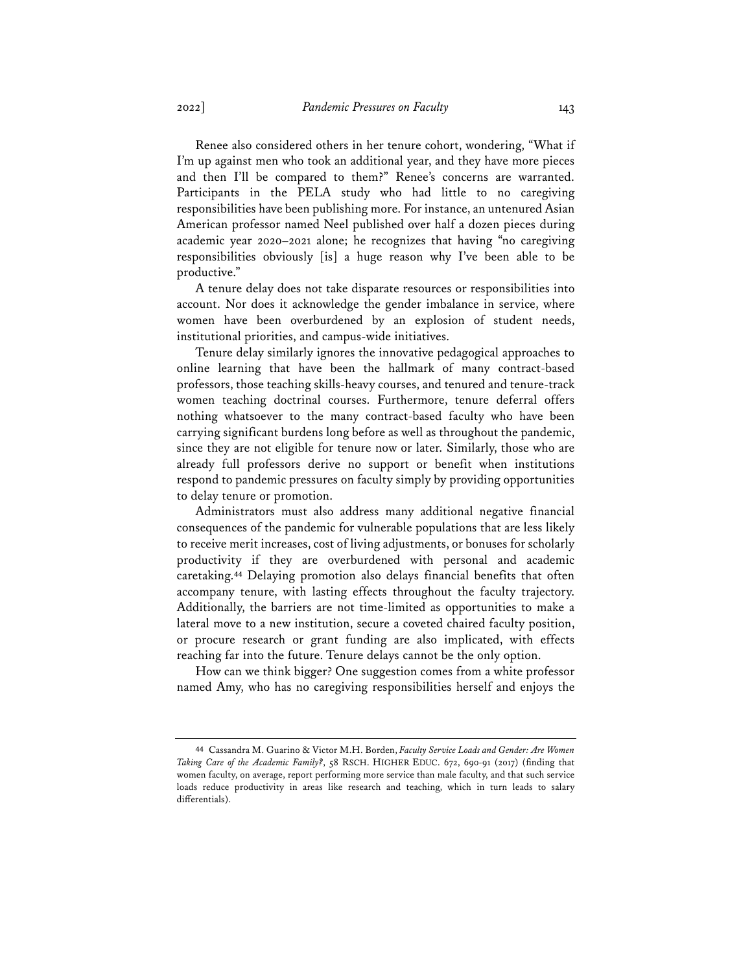Renee also considered others in her tenure cohort, wondering, "What if I'm up against men who took an additional year, and they have more pieces and then I'll be compared to them?" Renee's concerns are warranted. Participants in the PELA study who had little to no caregiving responsibilities have been publishing more. For instance, an untenured Asian American professor named Neel published over half a dozen pieces during academic year 2020–2021 alone; he recognizes that having "no caregiving responsibilities obviously [is] a huge reason why I've been able to be productive."

A tenure delay does not take disparate resources or responsibilities into account. Nor does it acknowledge the gender imbalance in service, where women have been overburdened by an explosion of student needs, institutional priorities, and campus-wide initiatives.

Tenure delay similarly ignores the innovative pedagogical approaches to online learning that have been the hallmark of many contract-based professors, those teaching skills-heavy courses, and tenured and tenure-track women teaching doctrinal courses. Furthermore, tenure deferral offers nothing whatsoever to the many contract-based faculty who have been carrying significant burdens long before as well as throughout the pandemic, since they are not eligible for tenure now or later. Similarly, those who are already full professors derive no support or benefit when institutions respond to pandemic pressures on faculty simply by providing opportunities to delay tenure or promotion.

Administrators must also address many additional negative financial consequences of the pandemic for vulnerable populations that are less likely to receive merit increases, cost of living adjustments, or bonuses for scholarly productivity if they are overburdened with personal and academic caretaking.**<sup>44</sup>** Delaying promotion also delays financial benefits that often accompany tenure, with lasting effects throughout the faculty trajectory. Additionally, the barriers are not time-limited as opportunities to make a lateral move to a new institution, secure a coveted chaired faculty position, or procure research or grant funding are also implicated, with effects reaching far into the future. Tenure delays cannot be the only option.

How can we think bigger? One suggestion comes from a white professor named Amy, who has no caregiving responsibilities herself and enjoys the

**<sup>44</sup>** Cassandra M. Guarino & Victor M.H. Borden, *Faculty Service Loads and Gender: Are Women Taking Care of the Academic Family?*, 58 RSCH. HIGHER EDUC. 672, 690-91 (2017) (finding that women faculty, on average, report performing more service than male faculty, and that such service loads reduce productivity in areas like research and teaching, which in turn leads to salary differentials).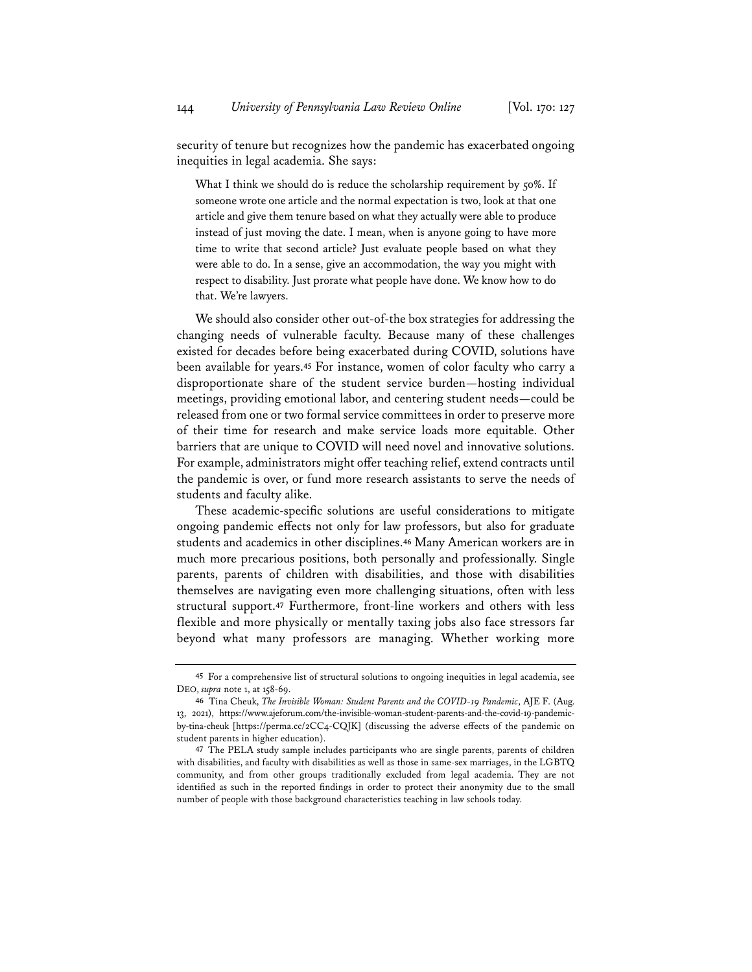security of tenure but recognizes how the pandemic has exacerbated ongoing inequities in legal academia. She says:

What I think we should do is reduce the scholarship requirement by 50%. If someone wrote one article and the normal expectation is two, look at that one article and give them tenure based on what they actually were able to produce instead of just moving the date. I mean, when is anyone going to have more time to write that second article? Just evaluate people based on what they were able to do. In a sense, give an accommodation, the way you might with respect to disability. Just prorate what people have done. We know how to do that. We're lawyers.

We should also consider other out-of-the box strategies for addressing the changing needs of vulnerable faculty. Because many of these challenges existed for decades before being exacerbated during COVID, solutions have been available for years.**<sup>45</sup>** For instance, women of color faculty who carry a disproportionate share of the student service burden—hosting individual meetings, providing emotional labor, and centering student needs—could be released from one or two formal service committees in order to preserve more of their time for research and make service loads more equitable. Other barriers that are unique to COVID will need novel and innovative solutions. For example, administrators might offer teaching relief, extend contracts until the pandemic is over, or fund more research assistants to serve the needs of students and faculty alike.

These academic-specific solutions are useful considerations to mitigate ongoing pandemic effects not only for law professors, but also for graduate students and academics in other disciplines.**<sup>46</sup>** Many American workers are in much more precarious positions, both personally and professionally. Single parents, parents of children with disabilities, and those with disabilities themselves are navigating even more challenging situations, often with less structural support.**<sup>47</sup>** Furthermore, front-line workers and others with less flexible and more physically or mentally taxing jobs also face stressors far beyond what many professors are managing. Whether working more

**<sup>45</sup>** For a comprehensive list of structural solutions to ongoing inequities in legal academia, see DEO, *supra* note 1, at 158-69.

**<sup>46</sup>** Tina Cheuk, *The Invisible Woman: Student Parents and the COVID-19 Pandemic*, AJE F. (Aug. 13, 2021), https://www.ajeforum.com/the-invisible-woman-student-parents-and-the-covid-19-pandemicby-tina-cheuk [https://perma.cc/2CC4-CQJK] (discussing the adverse effects of the pandemic on student parents in higher education).

**<sup>47</sup>** The PELA study sample includes participants who are single parents, parents of children with disabilities, and faculty with disabilities as well as those in same-sex marriages, in the LGBTQ community, and from other groups traditionally excluded from legal academia. They are not identified as such in the reported findings in order to protect their anonymity due to the small number of people with those background characteristics teaching in law schools today.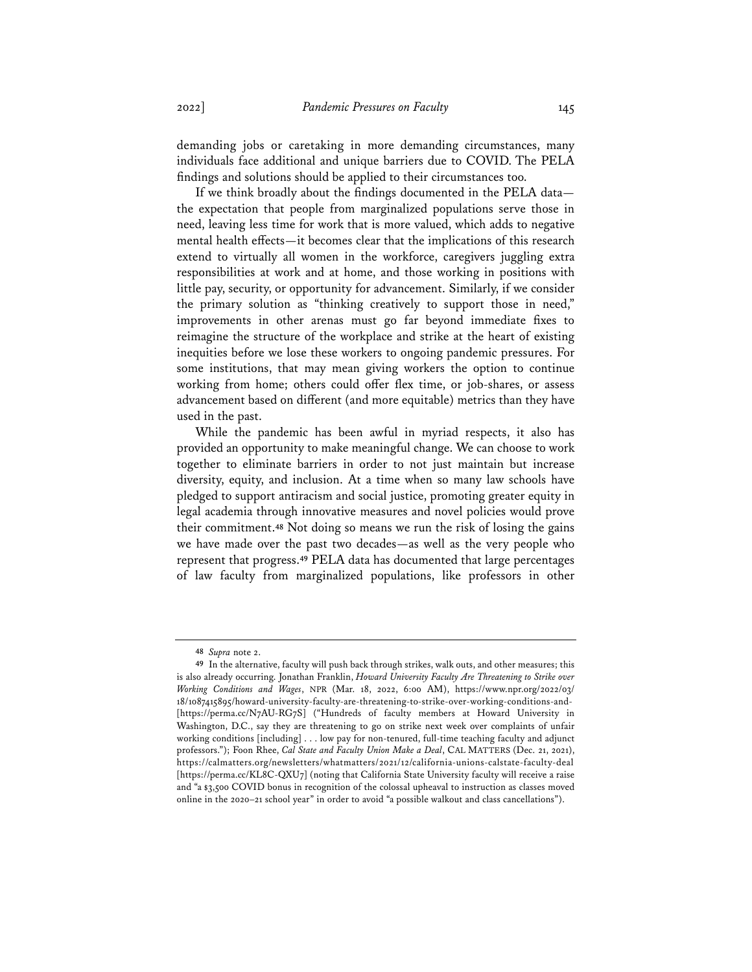demanding jobs or caretaking in more demanding circumstances, many individuals face additional and unique barriers due to COVID. The PELA findings and solutions should be applied to their circumstances too.

If we think broadly about the findings documented in the PELA data the expectation that people from marginalized populations serve those in need, leaving less time for work that is more valued, which adds to negative mental health effects—it becomes clear that the implications of this research extend to virtually all women in the workforce, caregivers juggling extra responsibilities at work and at home, and those working in positions with little pay, security, or opportunity for advancement. Similarly, if we consider the primary solution as "thinking creatively to support those in need," improvements in other arenas must go far beyond immediate fixes to reimagine the structure of the workplace and strike at the heart of existing inequities before we lose these workers to ongoing pandemic pressures. For some institutions, that may mean giving workers the option to continue working from home; others could offer flex time, or job-shares, or assess advancement based on different (and more equitable) metrics than they have used in the past.

While the pandemic has been awful in myriad respects, it also has provided an opportunity to make meaningful change. We can choose to work together to eliminate barriers in order to not just maintain but increase diversity, equity, and inclusion. At a time when so many law schools have pledged to support antiracism and social justice, promoting greater equity in legal academia through innovative measures and novel policies would prove their commitment.**<sup>48</sup>** Not doing so means we run the risk of losing the gains we have made over the past two decades—as well as the very people who represent that progress.**<sup>49</sup>** PELA data has documented that large percentages of law faculty from marginalized populations, like professors in other

**<sup>48</sup>** *Supra* note 2.

**<sup>49</sup>** In the alternative, faculty will push back through strikes, walk outs, and other measures; this is also already occurring. Jonathan Franklin, *Howard University Faculty Are Threatening to Strike over Working Conditions and Wages*, NPR (Mar. 18, 2022, 6:00 AM), https://www.npr.org/2022/03/ 18/1087415895/howard-university-faculty-are-threatening-to-strike-over-working-conditions-and- [https://perma.cc/N7AU-RG7S] ("Hundreds of faculty members at Howard University in Washington, D.C., say they are threatening to go on strike next week over complaints of unfair working conditions [including] . . . low pay for non-tenured, full-time teaching faculty and adjunct professors."); Foon Rhee, *Cal State and Faculty Union Make a Deal*, CAL MATTERS (Dec. 21, 2021), https://calmatters.org/newsletters/whatmatters/2021/12/california-unions-calstate-faculty-deal [https://perma.cc/KL8C-QXU7] (noting that California State University faculty will receive a raise and "a \$3,500 COVID bonus in recognition of the colossal upheaval to instruction as classes moved online in the 2020–21 school year" in order to avoid "a possible walkout and class cancellations").